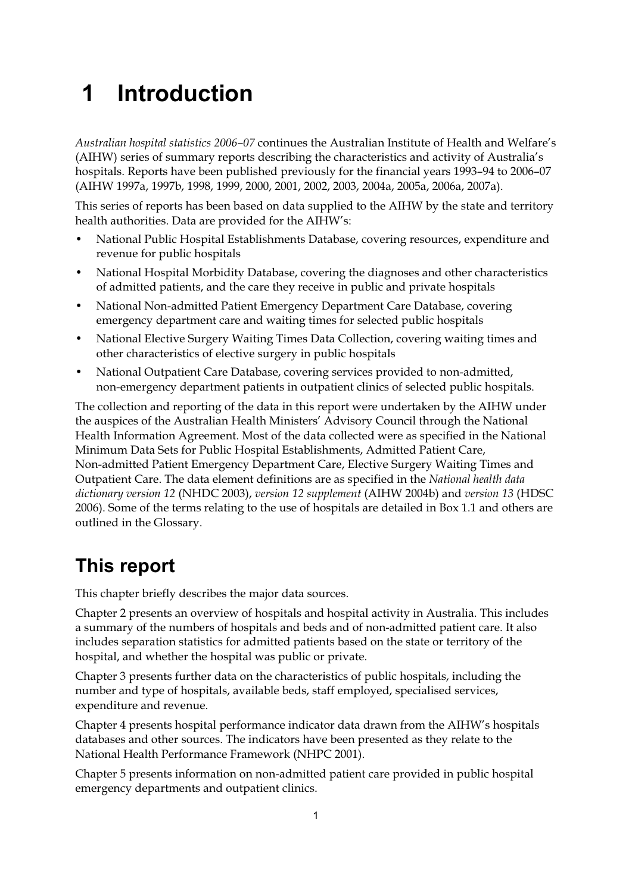# **1 Introduction**

*Australian hospital statistics 2006–07* continues the Australian Institute of Health and Welfare's (AIHW) series of summary reports describing the characteristics and activity of Australia's hospitals. Reports have been published previously for the financial years 1993–94 to 2006–07 (AIHW 1997a, 1997b, 1998, 1999, 2000, 2001, 2002, 2003, 2004a, 2005a, 2006a, 2007a).

This series of reports has been based on data supplied to the AIHW by the state and territory health authorities. Data are provided for the AIHW's:

- National Public Hospital Establishments Database, covering resources, expenditure and revenue for public hospitals
- National Hospital Morbidity Database, covering the diagnoses and other characteristics of admitted patients, and the care they receive in public and private hospitals
- National Non-admitted Patient Emergency Department Care Database, covering emergency department care and waiting times for selected public hospitals
- National Elective Surgery Waiting Times Data Collection, covering waiting times and other characteristics of elective surgery in public hospitals
- National Outpatient Care Database, covering services provided to non-admitted, non-emergency department patients in outpatient clinics of selected public hospitals.

The collection and reporting of the data in this report were undertaken by the AIHW under the auspices of the Australian Health Ministers' Advisory Council through the National Health Information Agreement. Most of the data collected were as specified in the National Minimum Data Sets for Public Hospital Establishments, Admitted Patient Care, Non-admitted Patient Emergency Department Care, Elective Surgery Waiting Times and Outpatient Care. The data element definitions are as specified in the *National health data dictionary version 12* (NHDC 2003), *version 12 supplement* (AIHW 2004b) and *version 13* (HDSC 2006). Some of the terms relating to the use of hospitals are detailed in Box 1.1 and others are outlined in the Glossary.

### **This report**

This chapter briefly describes the major data sources.

Chapter 2 presents an overview of hospitals and hospital activity in Australia. This includes a summary of the numbers of hospitals and beds and of non-admitted patient care. It also includes separation statistics for admitted patients based on the state or territory of the hospital, and whether the hospital was public or private.

Chapter 3 presents further data on the characteristics of public hospitals, including the number and type of hospitals, available beds, staff employed, specialised services, expenditure and revenue.

Chapter 4 presents hospital performance indicator data drawn from the AIHW's hospitals databases and other sources. The indicators have been presented as they relate to the National Health Performance Framework (NHPC 2001).

Chapter 5 presents information on non-admitted patient care provided in public hospital emergency departments and outpatient clinics.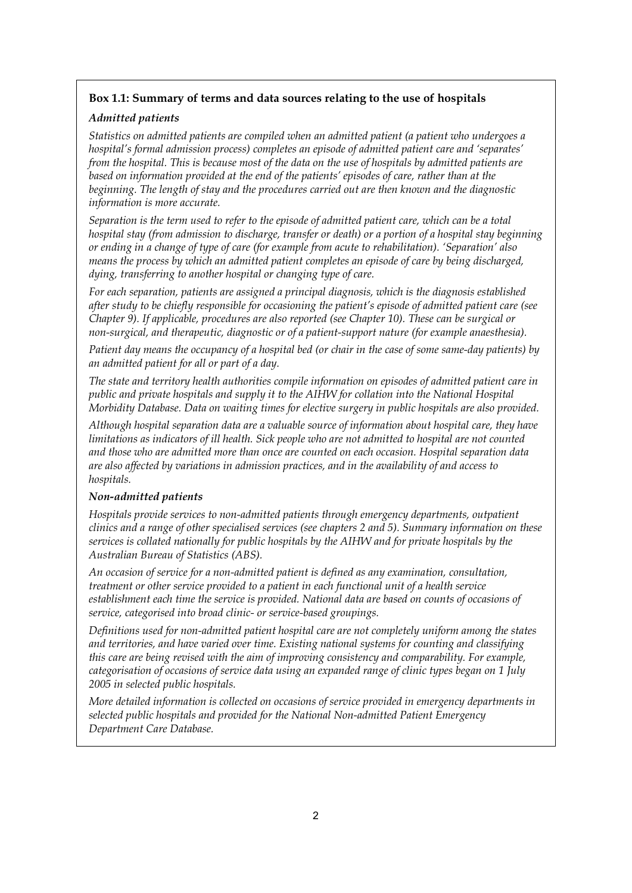#### **Box 1.1: Summary of terms and data sources relating to the use of hospitals**

#### *Admitted patients*

*Statistics on admitted patients are compiled when an admitted patient (a patient who undergoes a hospital's formal admission process) completes an episode of admitted patient care and 'separates' from the hospital. This is because most of the data on the use of hospitals by admitted patients are based on information provided at the end of the patients' episodes of care, rather than at the beginning. The length of stay and the procedures carried out are then known and the diagnostic information is more accurate.* 

*Separation is the term used to refer to the episode of admitted patient care, which can be a total hospital stay (from admission to discharge, transfer or death) or a portion of a hospital stay beginning or ending in a change of type of care (for example from acute to rehabilitation). 'Separation' also means the process by which an admitted patient completes an episode of care by being discharged, dying, transferring to another hospital or changing type of care.* 

*For each separation, patients are assigned a principal diagnosis, which is the diagnosis established after study to be chiefly responsible for occasioning the patient's episode of admitted patient care (see Chapter 9). If applicable, procedures are also reported (see Chapter 10). These can be surgical or non-surgical, and therapeutic, diagnostic or of a patient-support nature (for example anaesthesia).* 

*Patient day means the occupancy of a hospital bed (or chair in the case of some same-day patients) by an admitted patient for all or part of a day.* 

*The state and territory health authorities compile information on episodes of admitted patient care in public and private hospitals and supply it to the AIHW for collation into the National Hospital Morbidity Database. Data on waiting times for elective surgery in public hospitals are also provided.* 

*Although hospital separation data are a valuable source of information about hospital care, they have limitations as indicators of ill health. Sick people who are not admitted to hospital are not counted and those who are admitted more than once are counted on each occasion. Hospital separation data are also affected by variations in admission practices, and in the availability of and access to hospitals.* 

#### *Non-admitted patients*

*Hospitals provide services to non-admitted patients through emergency departments, outpatient clinics and a range of other specialised services (see chapters 2 and 5). Summary information on these services is collated nationally for public hospitals by the AIHW and for private hospitals by the Australian Bureau of Statistics (ABS).* 

*An occasion of service for a non-admitted patient is defined as any examination, consultation, treatment or other service provided to a patient in each functional unit of a health service establishment each time the service is provided. National data are based on counts of occasions of service, categorised into broad clinic- or service-based groupings.* 

*Definitions used for non-admitted patient hospital care are not completely uniform among the states and territories, and have varied over time. Existing national systems for counting and classifying this care are being revised with the aim of improving consistency and comparability. For example, categorisation of occasions of service data using an expanded range of clinic types began on 1 July 2005 in selected public hospitals.* 

*More detailed information is collected on occasions of service provided in emergency departments in selected public hospitals and provided for the National Non-admitted Patient Emergency Department Care Database.*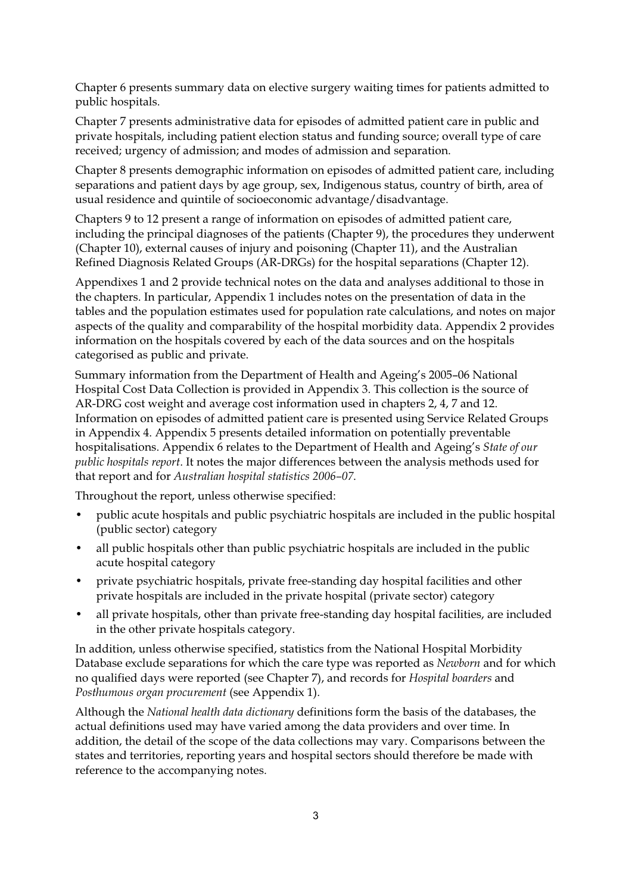Chapter 6 presents summary data on elective surgery waiting times for patients admitted to public hospitals.

Chapter 7 presents administrative data for episodes of admitted patient care in public and private hospitals, including patient election status and funding source; overall type of care received; urgency of admission; and modes of admission and separation.

Chapter 8 presents demographic information on episodes of admitted patient care, including separations and patient days by age group, sex, Indigenous status, country of birth, area of usual residence and quintile of socioeconomic advantage/disadvantage.

Chapters 9 to 12 present a range of information on episodes of admitted patient care, including the principal diagnoses of the patients (Chapter 9), the procedures they underwent (Chapter 10), external causes of injury and poisoning (Chapter 11), and the Australian Refined Diagnosis Related Groups (AR-DRGs) for the hospital separations (Chapter 12).

Appendixes 1 and 2 provide technical notes on the data and analyses additional to those in the chapters. In particular, Appendix 1 includes notes on the presentation of data in the tables and the population estimates used for population rate calculations, and notes on major aspects of the quality and comparability of the hospital morbidity data. Appendix 2 provides information on the hospitals covered by each of the data sources and on the hospitals categorised as public and private.

Summary information from the Department of Health and Ageing's 2005–06 National Hospital Cost Data Collection is provided in Appendix 3. This collection is the source of AR-DRG cost weight and average cost information used in chapters 2, 4, 7 and 12. Information on episodes of admitted patient care is presented using Service Related Groups in Appendix 4. Appendix 5 presents detailed information on potentially preventable hospitalisations. Appendix 6 relates to the Department of Health and Ageing's *State of our public hospitals report*. It notes the major differences between the analysis methods used for that report and for *Australian hospital statistics 2006–07*.

Throughout the report, unless otherwise specified:

- public acute hospitals and public psychiatric hospitals are included in the public hospital (public sector) category
- all public hospitals other than public psychiatric hospitals are included in the public acute hospital category
- private psychiatric hospitals, private free-standing day hospital facilities and other private hospitals are included in the private hospital (private sector) category
- all private hospitals, other than private free-standing day hospital facilities, are included in the other private hospitals category.

In addition, unless otherwise specified, statistics from the National Hospital Morbidity Database exclude separations for which the care type was reported as *Newborn* and for which no qualified days were reported (see Chapter 7), and records for *Hospital boarders* and *Posthumous organ procurement* (see Appendix 1).

Although the *National health data dictionary* definitions form the basis of the databases, the actual definitions used may have varied among the data providers and over time. In addition, the detail of the scope of the data collections may vary. Comparisons between the states and territories, reporting years and hospital sectors should therefore be made with reference to the accompanying notes.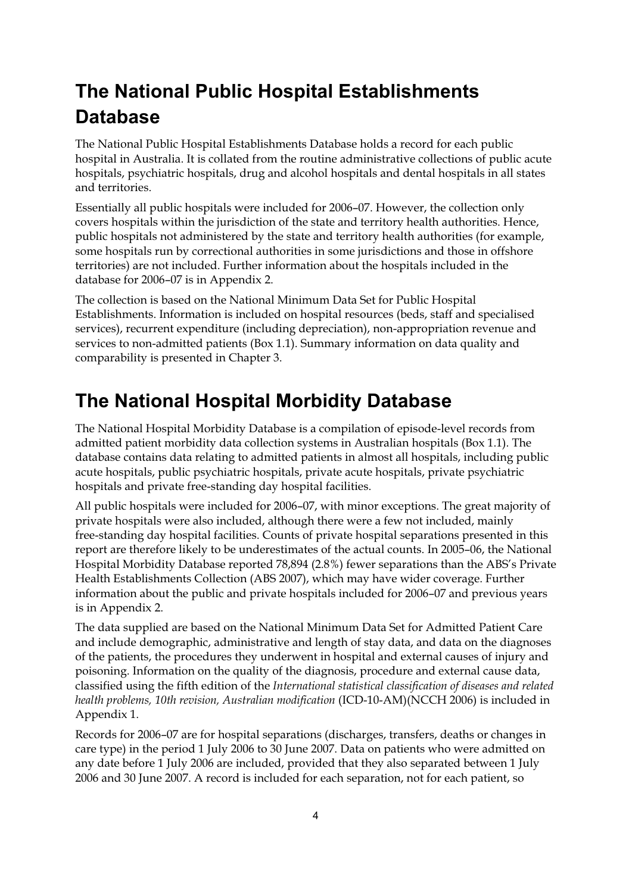# **The National Public Hospital Establishments Database**

The National Public Hospital Establishments Database holds a record for each public hospital in Australia. It is collated from the routine administrative collections of public acute hospitals, psychiatric hospitals, drug and alcohol hospitals and dental hospitals in all states and territories.

Essentially all public hospitals were included for 2006–07. However, the collection only covers hospitals within the jurisdiction of the state and territory health authorities. Hence, public hospitals not administered by the state and territory health authorities (for example, some hospitals run by correctional authorities in some jurisdictions and those in offshore territories) are not included. Further information about the hospitals included in the database for 2006–07 is in Appendix 2.

The collection is based on the National Minimum Data Set for Public Hospital Establishments. Information is included on hospital resources (beds, staff and specialised services), recurrent expenditure (including depreciation), non-appropriation revenue and services to non-admitted patients (Box 1.1). Summary information on data quality and comparability is presented in Chapter 3.

### **The National Hospital Morbidity Database**

The National Hospital Morbidity Database is a compilation of episode-level records from admitted patient morbidity data collection systems in Australian hospitals (Box 1.1). The database contains data relating to admitted patients in almost all hospitals, including public acute hospitals, public psychiatric hospitals, private acute hospitals, private psychiatric hospitals and private free-standing day hospital facilities.

All public hospitals were included for 2006–07, with minor exceptions. The great majority of private hospitals were also included, although there were a few not included, mainly free-standing day hospital facilities. Counts of private hospital separations presented in this report are therefore likely to be underestimates of the actual counts. In 2005–06, the National Hospital Morbidity Database reported 78,894 (2.8%) fewer separations than the ABS's Private Health Establishments Collection (ABS 2007), which may have wider coverage. Further information about the public and private hospitals included for 2006–07 and previous years is in Appendix 2.

The data supplied are based on the National Minimum Data Set for Admitted Patient Care and include demographic, administrative and length of stay data, and data on the diagnoses of the patients, the procedures they underwent in hospital and external causes of injury and poisoning. Information on the quality of the diagnosis, procedure and external cause data, classified using the fifth edition of the *International statistical classification of diseases and related health problems, 10th revision, Australian modification* (ICD-10-AM)(NCCH 2006) is included in Appendix 1.

Records for 2006–07 are for hospital separations (discharges, transfers, deaths or changes in care type) in the period 1 July 2006 to 30 June 2007. Data on patients who were admitted on any date before 1 July 2006 are included, provided that they also separated between 1 July 2006 and 30 June 2007. A record is included for each separation, not for each patient, so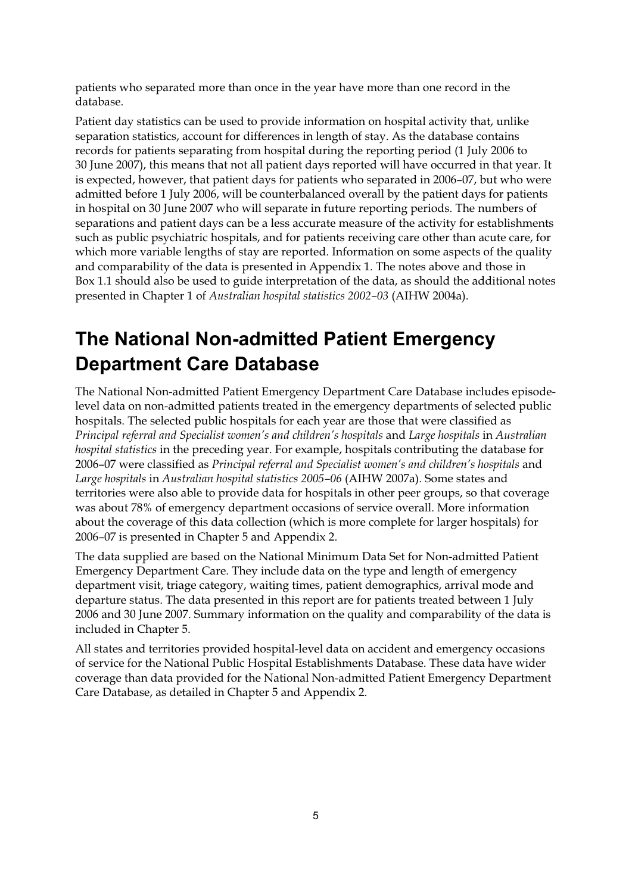patients who separated more than once in the year have more than one record in the database.

Patient day statistics can be used to provide information on hospital activity that, unlike separation statistics, account for differences in length of stay. As the database contains records for patients separating from hospital during the reporting period (1 July 2006 to 30 June 2007), this means that not all patient days reported will have occurred in that year. It is expected, however, that patient days for patients who separated in 2006–07, but who were admitted before 1 July 2006, will be counterbalanced overall by the patient days for patients in hospital on 30 June 2007 who will separate in future reporting periods. The numbers of separations and patient days can be a less accurate measure of the activity for establishments such as public psychiatric hospitals, and for patients receiving care other than acute care, for which more variable lengths of stay are reported. Information on some aspects of the quality and comparability of the data is presented in Appendix 1. The notes above and those in Box 1.1 should also be used to guide interpretation of the data, as should the additional notes presented in Chapter 1 of *Australian hospital statistics 2002–03* (AIHW 2004a).

## **The National Non-admitted Patient Emergency Department Care Database**

The National Non-admitted Patient Emergency Department Care Database includes episodelevel data on non-admitted patients treated in the emergency departments of selected public hospitals. The selected public hospitals for each year are those that were classified as *Principal referral and Specialist women's and children's hospitals* and *Large hospitals* in *Australian hospital statistics* in the preceding year. For example, hospitals contributing the database for 2006–07 were classified as *Principal referral and Specialist women's and children's hospitals* and *Large hospitals* in *Australian hospital statistics 2005–06* (AIHW 2007a). Some states and territories were also able to provide data for hospitals in other peer groups, so that coverage was about 78% of emergency department occasions of service overall. More information about the coverage of this data collection (which is more complete for larger hospitals) for 2006–07 is presented in Chapter 5 and Appendix 2.

The data supplied are based on the National Minimum Data Set for Non-admitted Patient Emergency Department Care. They include data on the type and length of emergency department visit, triage category, waiting times, patient demographics, arrival mode and departure status. The data presented in this report are for patients treated between 1 July 2006 and 30 June 2007. Summary information on the quality and comparability of the data is included in Chapter 5.

All states and territories provided hospital-level data on accident and emergency occasions of service for the National Public Hospital Establishments Database. These data have wider coverage than data provided for the National Non-admitted Patient Emergency Department Care Database, as detailed in Chapter 5 and Appendix 2.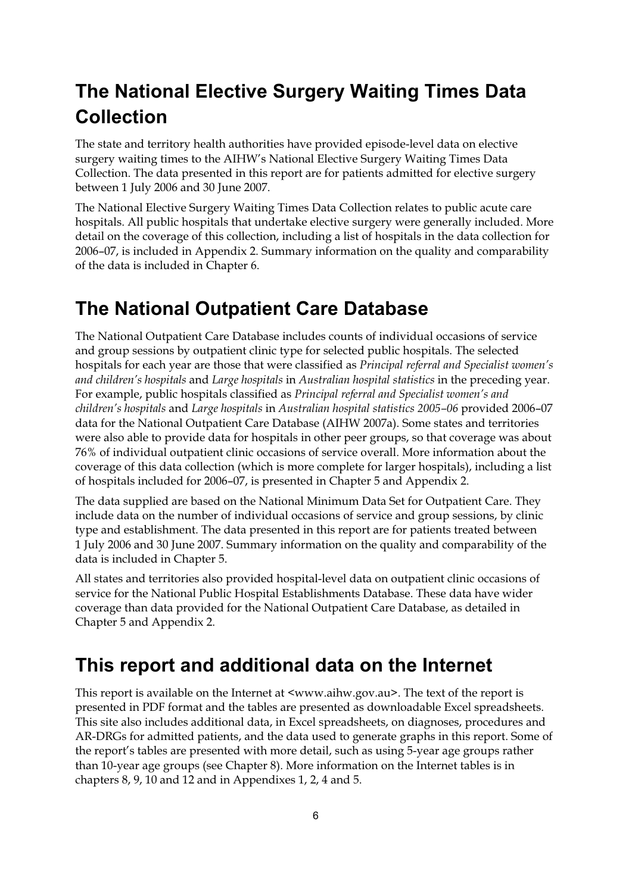# **The National Elective Surgery Waiting Times Data Collection**

The state and territory health authorities have provided episode-level data on elective surgery waiting times to the AIHW's National Elective Surgery Waiting Times Data Collection. The data presented in this report are for patients admitted for elective surgery between 1 July 2006 and 30 June 2007.

The National Elective Surgery Waiting Times Data Collection relates to public acute care hospitals. All public hospitals that undertake elective surgery were generally included. More detail on the coverage of this collection, including a list of hospitals in the data collection for 2006–07, is included in Appendix 2. Summary information on the quality and comparability of the data is included in Chapter 6.

### **The National Outpatient Care Database**

The National Outpatient Care Database includes counts of individual occasions of service and group sessions by outpatient clinic type for selected public hospitals. The selected hospitals for each year are those that were classified as *Principal referral and Specialist women's and children's hospitals* and *Large hospitals* in *Australian hospital statistics* in the preceding year. For example, public hospitals classified as *Principal referral and Specialist women's and children's hospitals* and *Large hospitals* in *Australian hospital statistics 2005–06* provided 2006–07 data for the National Outpatient Care Database (AIHW 2007a). Some states and territories were also able to provide data for hospitals in other peer groups, so that coverage was about 76% of individual outpatient clinic occasions of service overall. More information about the coverage of this data collection (which is more complete for larger hospitals), including a list of hospitals included for 2006–07, is presented in Chapter 5 and Appendix 2.

The data supplied are based on the National Minimum Data Set for Outpatient Care. They include data on the number of individual occasions of service and group sessions, by clinic type and establishment. The data presented in this report are for patients treated between 1 July 2006 and 30 June 2007. Summary information on the quality and comparability of the data is included in Chapter 5.

All states and territories also provided hospital-level data on outpatient clinic occasions of service for the National Public Hospital Establishments Database. These data have wider coverage than data provided for the National Outpatient Care Database, as detailed in Chapter 5 and Appendix 2.

### **This report and additional data on the Internet**

This report is available on the Internet at <www.aihw.gov.au>. The text of the report is presented in PDF format and the tables are presented as downloadable Excel spreadsheets. This site also includes additional data, in Excel spreadsheets, on diagnoses, procedures and AR-DRGs for admitted patients, and the data used to generate graphs in this report. Some of the report's tables are presented with more detail, such as using 5-year age groups rather than 10-year age groups (see Chapter 8). More information on the Internet tables is in chapters 8, 9, 10 and 12 and in Appendixes 1, 2, 4 and 5.